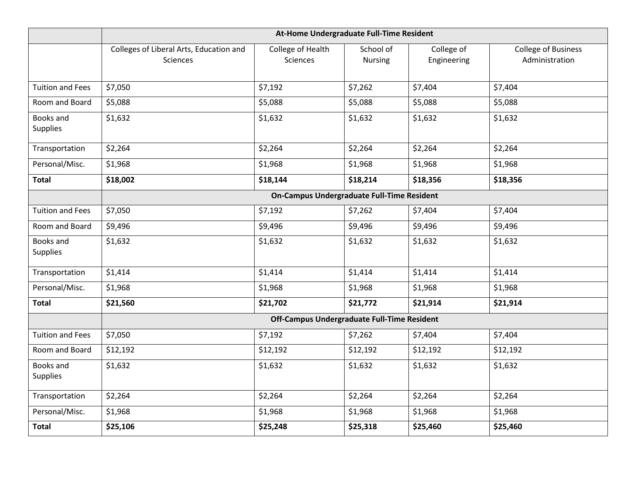|                              | At-Home Undergraduate Full-Time Resident            |                               |                             |                           |                                              |  |  |  |
|------------------------------|-----------------------------------------------------|-------------------------------|-----------------------------|---------------------------|----------------------------------------------|--|--|--|
|                              | Colleges of Liberal Arts, Education and<br>Sciences | College of Health<br>Sciences | School of<br><b>Nursing</b> | College of<br>Engineering | <b>College of Business</b><br>Administration |  |  |  |
| <b>Tuition and Fees</b>      | \$7,050                                             | \$7,192                       | \$7,262                     | \$7,404                   | \$7,404                                      |  |  |  |
| Room and Board               | \$5,088                                             | \$5,088                       | \$5,088                     | \$5,088                   | \$5,088                                      |  |  |  |
| Books and<br>Supplies        | \$1,632                                             | \$1,632                       | \$1,632                     | \$1,632                   | \$1,632                                      |  |  |  |
| Transportation               | \$2,264                                             | \$2,264                       | \$2,264                     | \$2,264                   | \$2,264                                      |  |  |  |
| Personal/Misc.               | \$1,968                                             | \$1,968                       | \$1,968                     | \$1,968                   | \$1,968                                      |  |  |  |
| <b>Total</b>                 | \$18,002                                            | \$18,144                      | \$18,214                    | \$18,356                  | \$18,356                                     |  |  |  |
|                              | <b>On-Campus Undergraduate Full-Time Resident</b>   |                               |                             |                           |                                              |  |  |  |
| <b>Tuition and Fees</b>      | \$7,050                                             | \$7,192                       | \$7,262                     | \$7,404                   | \$7,404                                      |  |  |  |
| Room and Board               | \$9,496                                             | \$9,496                       | \$9,496                     | \$9,496                   | \$9,496                                      |  |  |  |
| Books and<br><b>Supplies</b> | \$1,632                                             | \$1,632                       | \$1,632                     | \$1,632                   | \$1,632                                      |  |  |  |
| Transportation               | \$1,414                                             | \$1,414                       | \$1,414                     | \$1,414                   | \$1,414                                      |  |  |  |
| Personal/Misc.               | \$1,968                                             | \$1,968                       | \$1,968                     | \$1,968                   | \$1,968                                      |  |  |  |
| <b>Total</b>                 | \$21,560                                            | \$21,702                      | \$21,772                    | \$21,914                  | \$21,914                                     |  |  |  |
|                              | Off-Campus Undergraduate Full-Time Resident         |                               |                             |                           |                                              |  |  |  |
| <b>Tuition and Fees</b>      | \$7,050                                             | \$7,192                       | \$7,262                     | \$7,404                   | \$7,404                                      |  |  |  |
| Room and Board               | \$12,192                                            | \$12,192                      | \$12,192                    | \$12,192                  | \$12,192                                     |  |  |  |
| Books and<br><b>Supplies</b> | \$1,632                                             | \$1,632                       | \$1,632                     | \$1,632                   | \$1,632                                      |  |  |  |
| Transportation               | \$2,264                                             | \$2,264                       | \$2,264                     | \$2,264                   | \$2,264                                      |  |  |  |
| Personal/Misc.               | \$1,968                                             | \$1,968                       | \$1,968                     | \$1,968                   | \$1,968                                      |  |  |  |
| <b>Total</b>                 | \$25,106                                            | \$25,248                      | \$25,318                    | \$25,460                  | \$25,460                                     |  |  |  |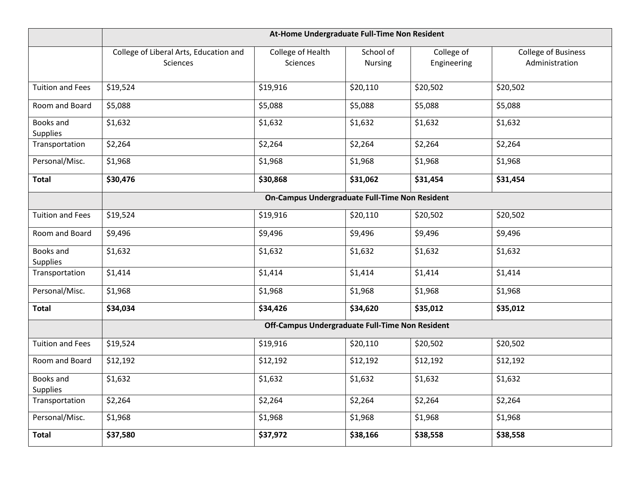|                              | At-Home Undergraduate Full-Time Non Resident       |                                                 |                             |                           |                                              |  |  |  |
|------------------------------|----------------------------------------------------|-------------------------------------------------|-----------------------------|---------------------------|----------------------------------------------|--|--|--|
|                              | College of Liberal Arts, Education and<br>Sciences | College of Health<br>Sciences                   | School of<br><b>Nursing</b> | College of<br>Engineering | <b>College of Business</b><br>Administration |  |  |  |
| <b>Tuition and Fees</b>      | \$19,524                                           | \$19,916                                        | \$20,110                    | \$20,502                  | \$20,502                                     |  |  |  |
| Room and Board               | \$5,088                                            | \$5,088                                         | \$5,088                     | \$5,088                   | \$5,088                                      |  |  |  |
| Books and<br>Supplies        | \$1,632                                            | \$1,632                                         | \$1,632                     | \$1,632                   | \$1,632                                      |  |  |  |
| Transportation               | \$2,264                                            | \$2,264                                         | \$2,264                     | \$2,264                   | \$2,264                                      |  |  |  |
| Personal/Misc.               | \$1,968                                            | \$1,968                                         | \$1,968                     | \$1,968                   | \$1,968                                      |  |  |  |
| <b>Total</b>                 | \$30,476                                           | \$30,868                                        | \$31,062                    | \$31,454                  | \$31,454                                     |  |  |  |
|                              | On-Campus Undergraduate Full-Time Non Resident     |                                                 |                             |                           |                                              |  |  |  |
| <b>Tuition and Fees</b>      | \$19,524                                           | \$19,916                                        | \$20,110                    | \$20,502                  | \$20,502                                     |  |  |  |
| Room and Board               | \$9,496                                            | \$9,496                                         | \$9,496                     | \$9,496                   | \$9,496                                      |  |  |  |
| Books and<br>Supplies        | \$1,632                                            | \$1,632                                         | \$1,632                     | \$1,632                   | \$1,632                                      |  |  |  |
| Transportation               | \$1,414                                            | \$1,414                                         | \$1,414                     | \$1,414                   | \$1,414                                      |  |  |  |
| Personal/Misc.               | \$1,968                                            | \$1,968                                         | \$1,968                     | \$1,968                   | \$1,968                                      |  |  |  |
| <b>Total</b>                 | \$34,034                                           | \$34,426                                        | \$34,620                    | \$35,012                  | \$35,012                                     |  |  |  |
|                              |                                                    | Off-Campus Undergraduate Full-Time Non Resident |                             |                           |                                              |  |  |  |
| <b>Tuition and Fees</b>      | \$19,524                                           | \$19,916                                        | \$20,110                    | \$20,502                  | \$20,502                                     |  |  |  |
| Room and Board               | \$12,192                                           | \$12,192                                        | \$12,192                    | \$12,192                  | \$12,192                                     |  |  |  |
| Books and<br><b>Supplies</b> | \$1,632                                            | \$1,632                                         | \$1,632                     | \$1,632                   | \$1,632                                      |  |  |  |
| Transportation               | \$2,264                                            | \$2,264                                         | \$2,264                     | \$2,264                   | \$2,264                                      |  |  |  |
| Personal/Misc.               | \$1,968                                            | \$1,968                                         | \$1,968                     | \$1,968                   | \$1,968                                      |  |  |  |
| <b>Total</b>                 | \$37,580                                           | \$37,972                                        | \$38,166                    | \$38,558                  | \$38,558                                     |  |  |  |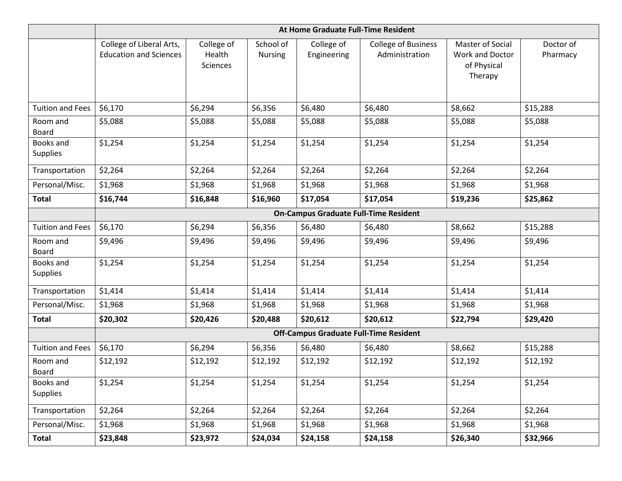|                              | At Home Graduate Full-Time Resident                       |                                  |                             |                           |                                              |                                                               |                       |  |  |
|------------------------------|-----------------------------------------------------------|----------------------------------|-----------------------------|---------------------------|----------------------------------------------|---------------------------------------------------------------|-----------------------|--|--|
|                              | College of Liberal Arts,<br><b>Education and Sciences</b> | College of<br>Health<br>Sciences | School of<br><b>Nursing</b> | College of<br>Engineering | <b>College of Business</b><br>Administration | Master of Social<br>Work and Doctor<br>of Physical<br>Therapy | Doctor of<br>Pharmacy |  |  |
| <b>Tuition and Fees</b>      | \$6,170                                                   | \$6,294                          | \$6,356                     | \$6,480                   | \$6,480                                      | \$8,662                                                       | \$15,288              |  |  |
| Room and<br><b>Board</b>     | \$5,088                                                   | \$5,088                          | \$5,088                     | \$5,088                   | \$5,088                                      | \$5,088                                                       | \$5,088               |  |  |
| Books and<br><b>Supplies</b> | \$1,254                                                   | \$1,254                          | \$1,254                     | \$1,254                   | \$1,254                                      | \$1,254                                                       | \$1,254               |  |  |
| Transportation               | \$2,264                                                   | \$2,264                          | \$2,264                     | \$2,264                   | \$2,264                                      | \$2,264                                                       | \$2,264               |  |  |
| Personal/Misc.               | \$1,968                                                   | \$1,968                          | \$1,968                     | \$1,968                   | \$1,968                                      | \$1,968                                                       | \$1,968               |  |  |
| <b>Total</b>                 | \$16,744                                                  | \$16,848                         | \$16,960                    | \$17,054                  | \$17,054                                     | \$19,236                                                      | \$25,862              |  |  |
|                              | <b>On-Campus Graduate Full-Time Resident</b>              |                                  |                             |                           |                                              |                                                               |                       |  |  |
| <b>Tuition and Fees</b>      | \$6,170                                                   | \$6,294                          | \$6,356                     | \$6,480                   | \$6,480                                      | \$8,662                                                       | \$15,288              |  |  |
| Room and<br><b>Board</b>     | \$9,496                                                   | \$9,496                          | \$9,496                     | \$9,496                   | \$9,496                                      | \$9,496                                                       | \$9,496               |  |  |
| Books and<br><b>Supplies</b> | \$1,254                                                   | \$1,254                          | \$1,254                     | \$1,254                   | \$1,254                                      | \$1,254                                                       | \$1,254               |  |  |
| Transportation               | \$1,414                                                   | \$1,414                          | \$1,414                     | \$1,414                   | \$1,414                                      | \$1,414                                                       | \$1,414               |  |  |
| Personal/Misc.               | \$1,968                                                   | \$1,968                          | \$1,968                     | \$1,968                   | \$1,968                                      | \$1,968                                                       | \$1,968               |  |  |
| <b>Total</b>                 | \$20,302                                                  | \$20,426                         | \$20,488                    | \$20,612                  | \$20,612                                     | \$22,794                                                      | \$29,420              |  |  |
|                              | <b>Off-Campus Graduate Full-Time Resident</b>             |                                  |                             |                           |                                              |                                                               |                       |  |  |
| <b>Tuition and Fees</b>      | \$6,170                                                   | \$6,294                          | \$6,356                     | \$6,480                   | \$6,480                                      | \$8,662                                                       | \$15,288              |  |  |
| Room and<br>Board            | \$12,192                                                  | \$12,192                         | \$12,192                    | \$12,192                  | \$12,192                                     | \$12,192                                                      | \$12,192              |  |  |
| Books and<br><b>Supplies</b> | \$1,254                                                   | \$1,254                          | \$1,254                     | \$1,254                   | \$1,254                                      | \$1,254                                                       | \$1,254               |  |  |
| Transportation               | \$2,264                                                   | \$2,264                          | \$2,264                     | \$2,264                   | \$2,264                                      | \$2,264                                                       | \$2,264               |  |  |
| Personal/Misc.               | \$1,968                                                   | \$1,968                          | \$1,968                     | \$1,968                   | \$1,968                                      | \$1,968                                                       | \$1,968               |  |  |
| <b>Total</b>                 | \$23,848                                                  | \$23,972                         | \$24,034                    | \$24,158                  | \$24,158                                     | \$26,340                                                      | \$32,966              |  |  |